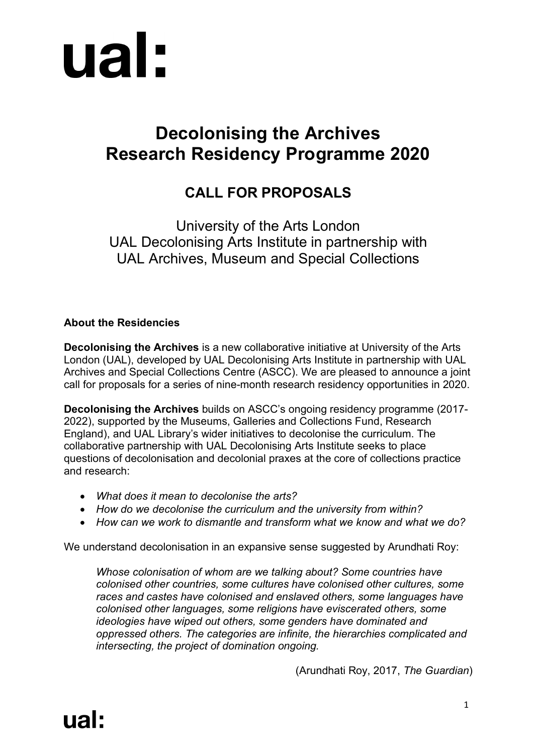

# **Decolonising the Archives Research Residency Programme 2020**

# **CALL FOR PROPOSALS**

University of the Arts London UAL Decolonising Arts Institute in partnership with UAL Archives, Museum and Special Collections

## **About the Residencies**

**Decolonising the Archives** is a new collaborative initiative at University of the Arts London (UAL), developed by UAL Decolonising Arts Institute in partnership with UAL Archives and Special Collections Centre (ASCC). We are pleased to announce a joint call for proposals for a series of nine-month research residency opportunities in 2020.

**Decolonising the Archives** builds on ASCC's ongoing residency programme (2017- 2022), supported by the Museums, Galleries and Collections Fund, Research England), and UAL Library's wider initiatives to decolonise the curriculum. The collaborative partnership with UAL Decolonising Arts Institute seeks to place questions of decolonisation and decolonial praxes at the core of collections practice and research:

- *What does it mean to decolonise the arts?*
- *How do we decolonise the curriculum and the university from within?*
- *How can we work to dismantle and transform what we know and what we do?*

We understand decolonisation in an expansive sense suggested by Arundhati Roy:

*Whose colonisation of whom are we talking about? Some countries have colonised other countries, some cultures have colonised other cultures, some races and castes have colonised and enslaved others, some languages have colonised other languages, some religions have eviscerated others, some ideologies have wiped out others, some genders have dominated and oppressed others. The categories are infinite, the hierarchies complicated and intersecting, the project of domination ongoing.*

(Arundhati Roy, 2017, *The Guardian*)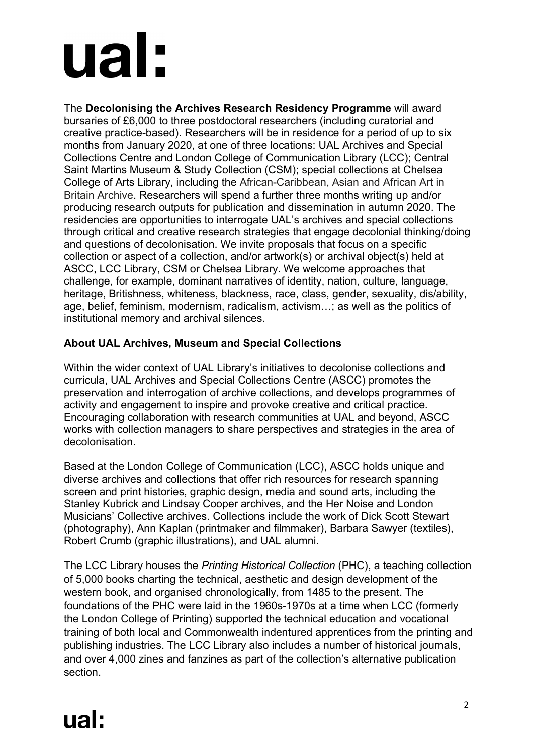# ual:

The **Decolonising the Archives Research Residency Programme** will award bursaries of £6,000 to three postdoctoral researchers (including curatorial and creative practice-based). Researchers will be in residence for a period of up to six months from January 2020, at one of three locations: UAL Archives and Special Collections Centre and London College of Communication Library (LCC); Central Saint Martins Museum & Study Collection (CSM); special collections at Chelsea College of Arts Library, including the African-Caribbean, Asian and African Art in Britain Archive. Researchers will spend a further three months writing up and/or producing research outputs for publication and dissemination in autumn 2020. The residencies are opportunities to interrogate UAL's archives and special collections through critical and creative research strategies that engage decolonial thinking/doing and questions of decolonisation. We invite proposals that focus on a specific collection or aspect of a collection, and/or artwork(s) or archival object(s) held at ASCC, LCC Library, CSM or Chelsea Library. We welcome approaches that challenge, for example, dominant narratives of identity, nation, culture, language, heritage, Britishness, whiteness, blackness, race, class, gender, sexuality, dis/ability, age, belief, feminism, modernism, radicalism, activism…; as well as the politics of institutional memory and archival silences.

# **About UAL Archives, Museum and Special Collections**

Within the wider context of UAL Library's initiatives to decolonise collections and curricula, UAL Archives and Special Collections Centre (ASCC) promotes the preservation and interrogation of archive collections, and develops programmes of activity and engagement to inspire and provoke creative and critical practice. Encouraging collaboration with research communities at UAL and beyond, ASCC works with collection managers to share perspectives and strategies in the area of decolonisation.

Based at the London College of Communication (LCC), ASCC holds unique and diverse archives and collections that offer rich resources for research spanning screen and print histories, graphic design, media and sound arts, including the Stanley Kubrick and Lindsay Cooper archives, and the Her Noise and London Musicians' Collective archives. Collections include the work of Dick Scott Stewart (photography), Ann Kaplan (printmaker and filmmaker), Barbara Sawyer (textiles), Robert Crumb (graphic illustrations), and UAL alumni.

The LCC Library houses the *Printing Historical Collection* (PHC), a teaching collection of 5,000 books charting the technical, aesthetic and design development of the western book, and organised chronologically, from 1485 to the present. The foundations of the PHC were laid in the 1960s-1970s at a time when LCC (formerly the London College of Printing) supported the technical education and vocational training of both local and Commonwealth indentured apprentices from the printing and publishing industries. The LCC Library also includes a number of historical journals, and over 4,000 zines and fanzines as part of the collection's alternative publication section.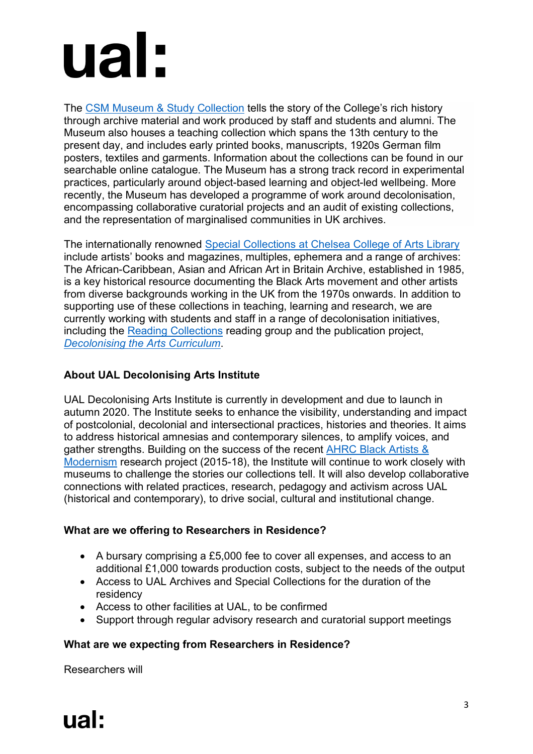# ual:

The CSM Museum & Study Collection tells the story of the College's rich history through archive material and work produced by staff and students and alumni. The Museum also houses a teaching collection which spans the 13th century to the present day, and includes early printed books, manuscripts, 1920s German film posters, textiles and garments. Information about the collections can be found in our searchable online catalogue. The Museum has a strong track record in experimental practices, particularly around object-based learning and object-led wellbeing. More recently, the Museum has developed a programme of work around decolonisation, encompassing collaborative curatorial projects and an audit of existing collections, and the representation of marginalised communities in UK archives.

The internationally renowned Special Collections at Chelsea College of Arts Library include artists' books and magazines, multiples, ephemera and a range of archives: The African-Caribbean, Asian and African Art in Britain Archive, established in 1985, is a key historical resource documenting the Black Arts movement and other artists from diverse backgrounds working in the UK from the 1970s onwards. In addition to supporting use of these collections in teaching, learning and research, we are currently working with students and staff in a range of decolonisation initiatives, including the Reading Collections reading group and the publication project, *Decolonising the Arts Curriculum*.

# **About UAL Decolonising Arts Institute**

UAL Decolonising Arts Institute is currently in development and due to launch in autumn 2020. The Institute seeks to enhance the visibility, understanding and impact of postcolonial, decolonial and intersectional practices, histories and theories. It aims to address historical amnesias and contemporary silences, to amplify voices, and gather strengths. Building on the success of the recent AHRC Black Artists & Modernism research project (2015-18), the Institute will continue to work closely with museums to challenge the stories our collections tell. It will also develop collaborative connections with related practices, research, pedagogy and activism across UAL (historical and contemporary), to drive social, cultural and institutional change.

## **What are we offering to Researchers in Residence?**

- A bursary comprising a £5,000 fee to cover all expenses, and access to an additional £1,000 towards production costs, subject to the needs of the output
- Access to UAL Archives and Special Collections for the duration of the residency
- Access to other facilities at UAL, to be confirmed
- Support through regular advisory research and curatorial support meetings

# **What are we expecting from Researchers in Residence?**

Researchers will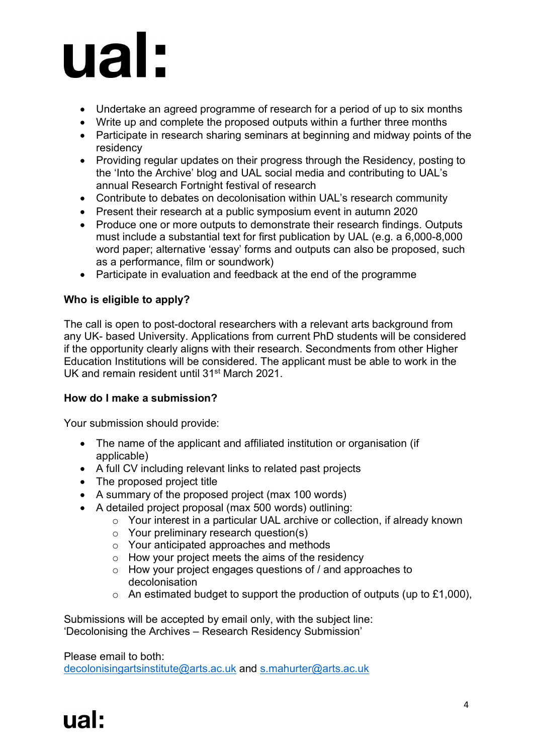

- Undertake an agreed programme of research for a period of up to six months
- Write up and complete the proposed outputs within a further three months
- Participate in research sharing seminars at beginning and midway points of the residency
- Providing regular updates on their progress through the Residency, posting to the 'Into the Archive' blog and UAL social media and contributing to UAL's annual Research Fortnight festival of research
- Contribute to debates on decolonisation within UAL's research community
- Present their research at a public symposium event in autumn 2020
- Produce one or more outputs to demonstrate their research findings. Outputs must include a substantial text for first publication by UAL (e.g. a 6,000-8,000 word paper; alternative 'essay' forms and outputs can also be proposed, such as a performance, film or soundwork)
- Participate in evaluation and feedback at the end of the programme

#### **Who is eligible to apply?**

The call is open to post-doctoral researchers with a relevant arts background from any UK- based University. Applications from current PhD students will be considered if the opportunity clearly aligns with their research. Secondments from other Higher Education Institutions will be considered. The applicant must be able to work in the UK and remain resident until 31st March 2021.

#### **How do I make a submission?**

Your submission should provide:

- The name of the applicant and affiliated institution or organisation (if applicable)
- A full CV including relevant links to related past projects
- The proposed project title
- A summary of the proposed project (max 100 words)
- A detailed project proposal (max 500 words) outlining:
	- o Your interest in a particular UAL archive or collection, if already known
	- o Your preliminary research question(s)
	- o Your anticipated approaches and methods
	- o How your project meets the aims of the residency
	- o How your project engages questions of / and approaches to decolonisation
	- $\circ$  An estimated budget to support the production of outputs (up to £1,000),

Submissions will be accepted by email only, with the subject line: 'Decolonising the Archives – Research Residency Submission'

#### Please email to both:

decolonisingartsinstitute@arts.ac.uk and s.mahurter@arts.ac.uk